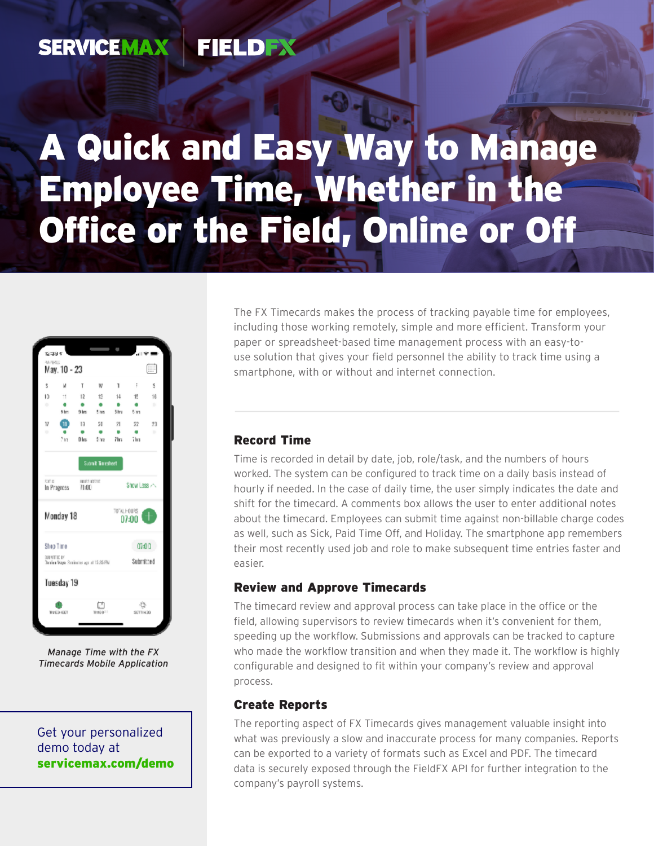#### FIELDEX **SERVICEMAX**

# A Quick and Easy Way to Manage Employee Time, Whether in the Office or the Field, Online or Off



*Manage Time with the FX Timecards Mobile Application*

Get your personalized demo today at [servicemax.com/demo](http://servicemax.com/demo) The FX Timecards makes the process of tracking payable time for employees, including those working remotely, simple and more efficient. Transform your paper or spreadsheet-based time management process with an easy-touse solution that gives your field personnel the ability to track time using a smartphone, with or without and internet connection.

### Record Time

Time is recorded in detail by date, job, role/task, and the numbers of hours worked. The system can be configured to track time on a daily basis instead of hourly if needed. In the case of daily time, the user simply indicates the date and shift for the timecard. A comments box allows the user to enter additional notes about the timecard. Employees can submit time against non-billable charge codes as well, such as Sick, Paid Time Off, and Holiday. The smartphone app remembers their most recently used job and role to make subsequent time entries faster and easier.

### Review and Approve Timecards

The timecard review and approval process can take place in the office or the field, allowing supervisors to review timecards when it's convenient for them, speeding up the workflow. Submissions and approvals can be tracked to capture who made the workflow transition and when they made it. The workflow is highly configurable and designed to fit within your company's review and approval process.

#### Create Reports

The reporting aspect of FX Timecards gives management valuable insight into what was previously a slow and inaccurate process for many companies. Reports can be exported to a variety of formats such as Excel and PDF. The timecard data is securely exposed through the FieldFX API for further integration to the company's payroll systems.